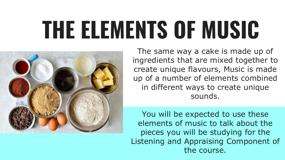### **THE ELEMENTS OF MUSIC**



The same way a cake is made up of ingredients that are mixed together to create unique flavours, Music is made up of a number of elements combined in different ways to create unique sounds.

You will be expected to use these elements of music to talk about the pieces you will be studying for the Listening and Appraising Component of the course.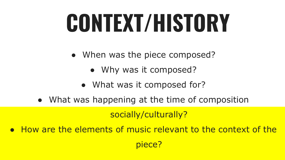## **CONTEXT/HISTORY**

- When was the piece composed?
	- Why was it composed?
	- What was it composed for?
- What was happening at the time of composition

socially/culturally?

piece?

● How are the elements of music relevant to the context of the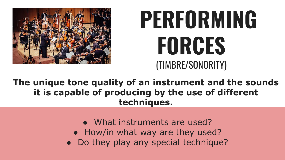

### **PERFORMING FORCES**  (TIMBRE/SONORITY)

**The unique tone quality of an instrument and the sounds it is capable of producing by the use of different techniques.**

- What instruments are used?
- How/in what way are they used?
- Do they play any special technique?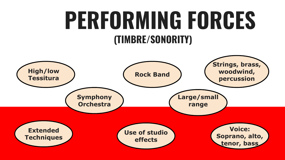### **PERFORMING FORCES (TIMBRE/SONORITY)**

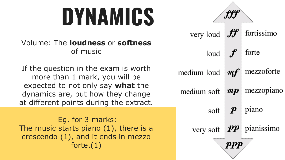### **DYNAMICS**

#### Volume: The **loudness** or **softness**  of music

If the question in the exam is worth more than 1 mark, you will be expected to not only say **what** the dynamics are, but how they change at different points during the extract.

Eg. for 3 marks: The music starts piano (1), there is a crescendo (1), and it ends in mezzo forte.(1)

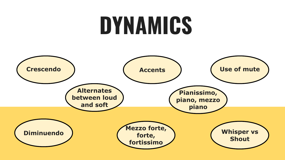### **DYNAMICS**

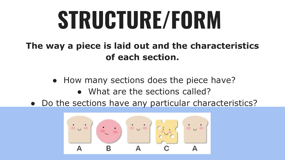# **STRUCTURE/FORM**

**The way a piece is laid out and the characteristics of each section.**

- How many sections does the piece have?
	- What are the sections called?
- Do the sections have any particular characteristics?

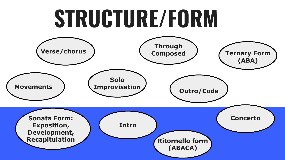### **STRUCTURE/FORM**

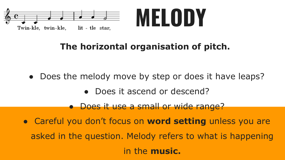

#### **The horizontal organisation of pitch.**

- Does the melody move by step or does it have leaps?
	- Does it ascend or descend?
	- Does it use a small or wide range?
- Careful you don't focus on **word setting** unless you are asked in the question. Melody refers to what is happening in the **music.**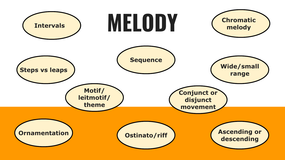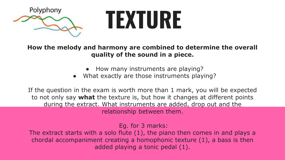

### **TEXTURE**

**How the melody and harmony are combined to determine the overall quality of the sound in a piece.** 

- How many instruments are playing?
- What exactly are those instruments playing?

If the question in the exam is worth more than 1 mark, you will be expected to not only say **what** the texture is, but how it changes at different points during the extract. What instruments are added, drop out and the relationship between them.

Eg. for 3 marks:

The extract starts with a solo flute (1), the piano then comes in and plays a chordal accompaniment creating a homophonic texture (1), a bass is then added playing a tonic pedal (1).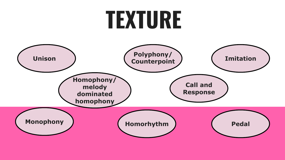### **TEXTURE**

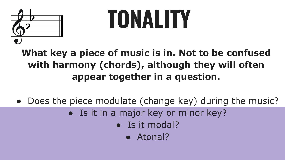

# **TONALITY**

#### **What key a piece of music is in. Not to be confused with harmony (chords), although they will often appear together in a question.**

- Does the piece modulate (change key) during the music?
	- Is it in a major key or minor key?
		- Is it modal?
			- Atonal?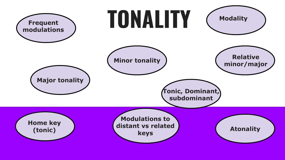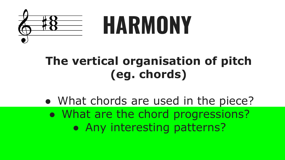

### **The vertical organisation of pitch (eg. chords)**

• What chords are used in the piece? • What are the chord progressions? • Any interesting patterns?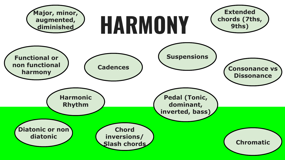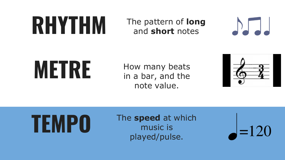

### and **short** notes



**METRE** How many beats in a bar, and the note value.



# **TEMPO**

#### The **speed** at which music is played/pulse.

 $=120$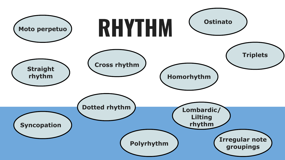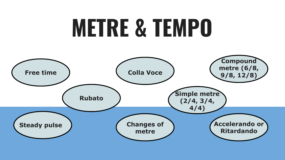### **METRE & TEMPO**

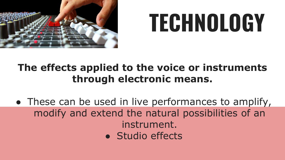

# **TECHNOLOGY**

#### **The effects applied to the voice or instruments through electronic means.**

• These can be used in live performances to amplify, modify and extend the natural possibilities of an instrument. • Studio effects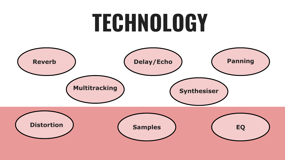### **TECHNOLOGY**